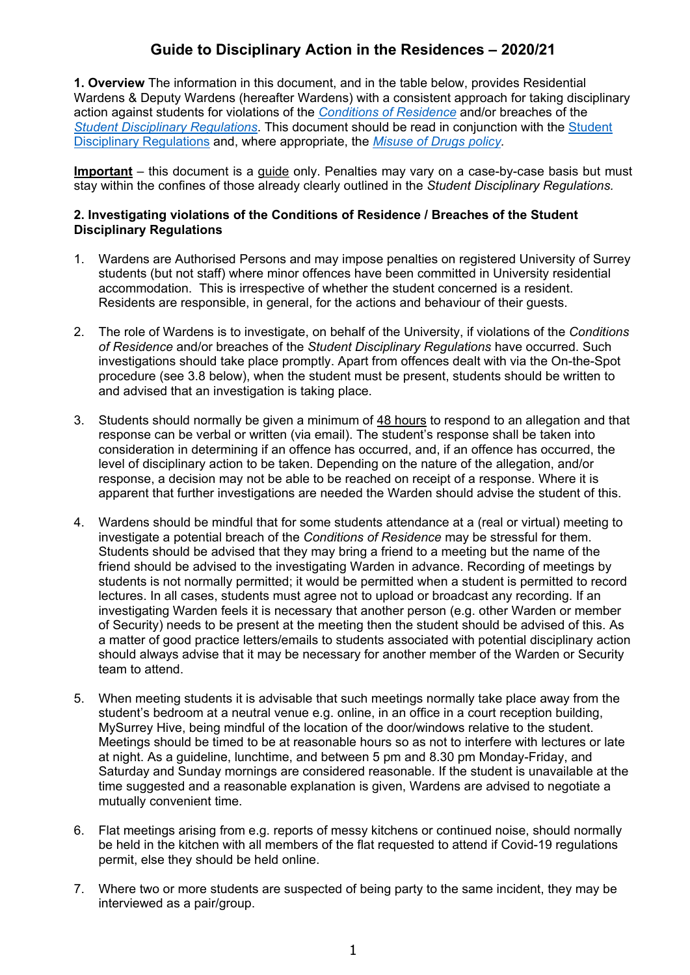# **Guide to Disciplinary Action in the Residences – 2020/21**

**1. Overview** The information in this document, and in the table below, provides Residential Wardens & Deputy Wardens (hereafter Wardens) with a consistent approach for taking disciplinary action against students for violations of the *[Conditions of Residence](https://accommodation.surrey.ac.uk/living-halls-residence/conditions-residence)* and/or breaches of the *[Student Disciplinary Regulations](https://www.surrey.ac.uk/quality-enhancement-standards/regulations/202021-regulations)*. This document should be read in conjunction with the [Student](https://www.surrey.ac.uk/quality-enhancement-standards/regulations) [Disciplinary Regulations](https://www.surrey.ac.uk/quality-enhancement-standards/regulations) and, where appropriate, the *[Misuse of Drugs policy.](https://surrey-content.surrey.ac.uk/sites/default/files/2021-04/student-drugs-policy.pdf)*

**Important** – this document is a guide only. Penalties may vary on a case-by-case basis but must stay within the confines of those already clearly outlined in the *Student Disciplinary Regulations.*

#### **2. Investigating violations of the Conditions of Residence / Breaches of the Student Disciplinary Regulations**

- 1. Wardens are Authorised Persons and may impose penalties on registered University of Surrey students (but not staff) where minor offences have been committed in University residential accommodation. This is irrespective of whether the student concerned is a resident. Residents are responsible, in general, for the actions and behaviour of their guests.
- 2. The role of Wardens is to investigate, on behalf of the University, if violations of the *Conditions of Residence* and/or breaches of the *Student Disciplinary Regulations* have occurred. Such investigations should take place promptly. Apart from offences dealt with via the On-the-Spot procedure (see 3.8 below), when the student must be present, students should be written to and advised that an investigation is taking place.
- 3. Students should normally be given a minimum of 48 hours to respond to an allegation and that response can be verbal or written (via email). The student's response shall be taken into consideration in determining if an offence has occurred, and, if an offence has occurred, the level of disciplinary action to be taken. Depending on the nature of the allegation, and/or response, a decision may not be able to be reached on receipt of a response. Where it is apparent that further investigations are needed the Warden should advise the student of this.
- 4. Wardens should be mindful that for some students attendance at a (real or virtual) meeting to investigate a potential breach of the *Conditions of Residence* may be stressful for them. Students should be advised that they may bring a friend to a meeting but the name of the friend should be advised to the investigating Warden in advance. Recording of meetings by students is not normally permitted; it would be permitted when a student is permitted to record lectures. In all cases, students must agree not to upload or broadcast any recording. If an investigating Warden feels it is necessary that another person (e.g. other Warden or member of Security) needs to be present at the meeting then the student should be advised of this. As a matter of good practice letters/emails to students associated with potential disciplinary action should always advise that it may be necessary for another member of the Warden or Security team to attend.
- 5. When meeting students it is advisable that such meetings normally take place away from the student's bedroom at a neutral venue e.g. online, in an office in a court reception building, MySurrey Hive, being mindful of the location of the door/windows relative to the student. Meetings should be timed to be at reasonable hours so as not to interfere with lectures or late at night. As a guideline, lunchtime, and between 5 pm and 8.30 pm Monday-Friday, and Saturday and Sunday mornings are considered reasonable. If the student is unavailable at the time suggested and a reasonable explanation is given, Wardens are advised to negotiate a mutually convenient time.
- 6. Flat meetings arising from e.g. reports of messy kitchens or continued noise, should normally be held in the kitchen with all members of the flat requested to attend if Covid-19 regulations permit, else they should be held online.
- 7. Where two or more students are suspected of being party to the same incident, they may be interviewed as a pair/group.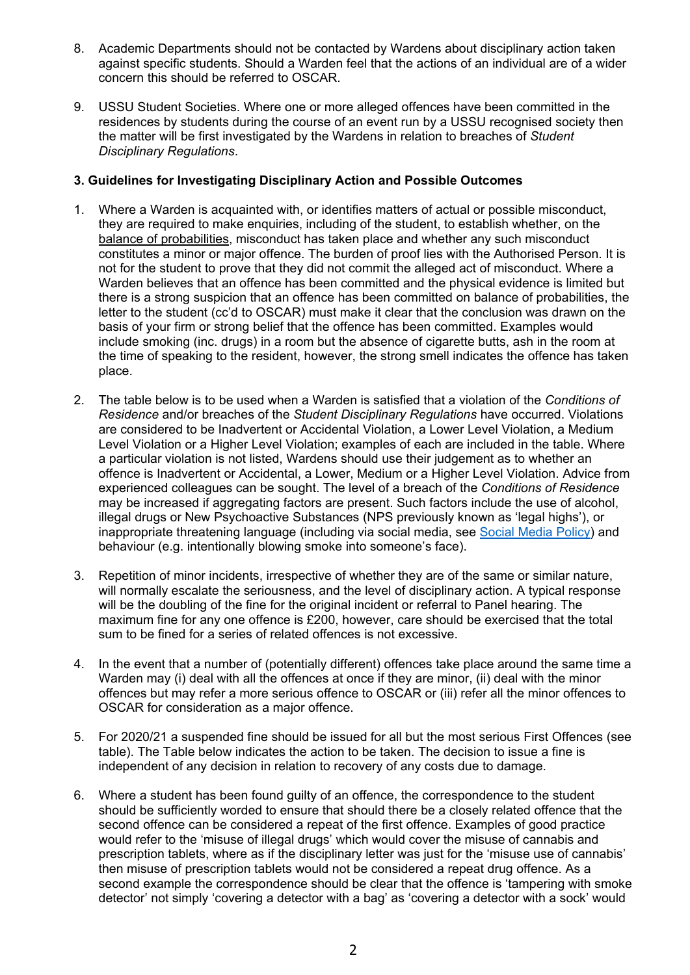- 8. Academic Departments should not be contacted by Wardens about disciplinary action taken against specific students. Should a Warden feel that the actions of an individual are of a wider concern this should be referred to OSCAR.
- 9. USSU Student Societies. Where one or more alleged offences have been committed in the residences by students during the course of an event run by a USSU recognised society then the matter will be first investigated by the Wardens in relation to breaches of *Student Disciplinary Regulations*.

#### **3. Guidelines for Investigating Disciplinary Action and Possible Outcomes**

- 1. Where a Warden is acquainted with, or identifies matters of actual or possible misconduct, they are required to make enquiries, including of the student, to establish whether, on the balance of probabilities, misconduct has taken place and whether any such misconduct constitutes a minor or major offence. The burden of proof lies with the Authorised Person. It is not for the student to prove that they did not commit the alleged act of misconduct. Where a Warden believes that an offence has been committed and the physical evidence is limited but there is a strong suspicion that an offence has been committed on balance of probabilities, the letter to the student (cc'd to OSCAR) must make it clear that the conclusion was drawn on the basis of your firm or strong belief that the offence has been committed. Examples would include smoking (inc. drugs) in a room but the absence of cigarette butts, ash in the room at the time of speaking to the resident, however, the strong smell indicates the offence has taken place.
- 2. The table below is to be used when a Warden is satisfied that a violation of the *Conditions of Residence* and/or breaches of the *Student Disciplinary Regulations* have occurred. Violations are considered to be Inadvertent or Accidental Violation, a Lower Level Violation, a Medium Level Violation or a Higher Level Violation; examples of each are included in the table. Where a particular violation is not listed, Wardens should use their judgement as to whether an offence is Inadvertent or Accidental, a Lower, Medium or a Higher Level Violation. Advice from experienced colleagues can be sought. The level of a breach of the *Conditions of Residence* may be increased if aggregating factors are present. Such factors include the use of alcohol, illegal drugs or New Psychoactive Substances (NPS previously known as 'legal highs'), or inappropriate threatening language (including via social media, see [Social Media Policy\)](https://policies.surrey.ac.uk/policies-regulations-and-codes-practice) and behaviour (e.g. intentionally blowing smoke into someone's face).
- 3. Repetition of minor incidents, irrespective of whether they are of the same or similar nature, will normally escalate the seriousness, and the level of disciplinary action. A typical response will be the doubling of the fine for the original incident or referral to Panel hearing. The maximum fine for any one offence is £200, however, care should be exercised that the total sum to be fined for a series of related offences is not excessive.
- 4. In the event that a number of (potentially different) offences take place around the same time a Warden may (i) deal with all the offences at once if they are minor, (ii) deal with the minor offences but may refer a more serious offence to OSCAR or (iii) refer all the minor offences to OSCAR for consideration as a major offence.
- 5. For 2020/21 a suspended fine should be issued for all but the most serious First Offences (see table). The Table below indicates the action to be taken. The decision to issue a fine is independent of any decision in relation to recovery of any costs due to damage.
- 6. Where a student has been found guilty of an offence, the correspondence to the student should be sufficiently worded to ensure that should there be a closely related offence that the second offence can be considered a repeat of the first offence. Examples of good practice would refer to the 'misuse of illegal drugs' which would cover the misuse of cannabis and prescription tablets, where as if the disciplinary letter was just for the 'misuse use of cannabis' then misuse of prescription tablets would not be considered a repeat drug offence. As a second example the correspondence should be clear that the offence is 'tampering with smoke detector' not simply 'covering a detector with a bag' as 'covering a detector with a sock' would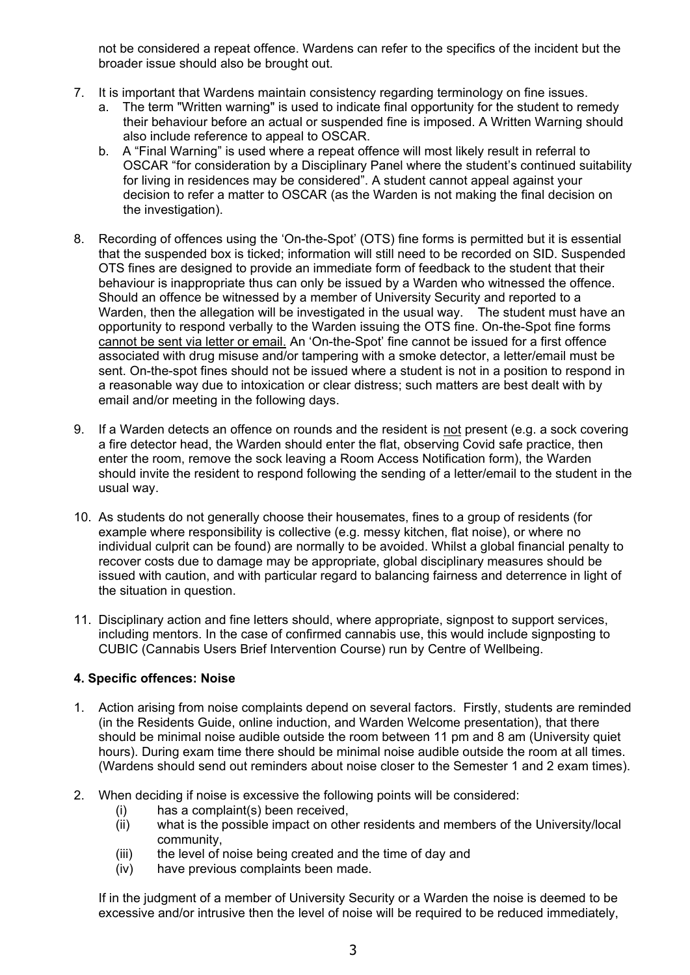not be considered a repeat offence. Wardens can refer to the specifics of the incident but the broader issue should also be brought out.

- 7. It is important that Wardens maintain consistency regarding terminology on fine issues.
	- a. The term "Written warning" is used to indicate final opportunity for the student to remedy their behaviour before an actual or suspended fine is imposed. A Written Warning should also include reference to appeal to OSCAR.
	- b. A "Final Warning" is used where a repeat offence will most likely result in referral to OSCAR "for consideration by a Disciplinary Panel where the student's continued suitability for living in residences may be considered". A student cannot appeal against your decision to refer a matter to OSCAR (as the Warden is not making the final decision on the investigation).
- 8. Recording of offences using the 'On-the-Spot' (OTS) fine forms is permitted but it is essential that the suspended box is ticked; information will still need to be recorded on SID. Suspended OTS fines are designed to provide an immediate form of feedback to the student that their behaviour is inappropriate thus can only be issued by a Warden who witnessed the offence. Should an offence be witnessed by a member of University Security and reported to a Warden, then the allegation will be investigated in the usual way. The student must have an opportunity to respond verbally to the Warden issuing the OTS fine. On-the-Spot fine forms cannot be sent via letter or email. An 'On-the-Spot' fine cannot be issued for a first offence associated with drug misuse and/or tampering with a smoke detector, a letter/email must be sent. On-the-spot fines should not be issued where a student is not in a position to respond in a reasonable way due to intoxication or clear distress; such matters are best dealt with by email and/or meeting in the following days.
- 9. If a Warden detects an offence on rounds and the resident is not present (e.g. a sock covering a fire detector head, the Warden should enter the flat, observing Covid safe practice, then enter the room, remove the sock leaving a Room Access Notification form), the Warden should invite the resident to respond following the sending of a letter/email to the student in the usual way.
- 10. As students do not generally choose their housemates, fines to a group of residents (for example where responsibility is collective (e.g. messy kitchen, flat noise), or where no individual culprit can be found) are normally to be avoided. Whilst a global financial penalty to recover costs due to damage may be appropriate, global disciplinary measures should be issued with caution, and with particular regard to balancing fairness and deterrence in light of the situation in question.
- 11. Disciplinary action and fine letters should, where appropriate, signpost to support services, including mentors. In the case of confirmed cannabis use, this would include signposting to CUBIC (Cannabis Users Brief Intervention Course) run by Centre of Wellbeing.

## **4. Specific offences: Noise**

- 1. Action arising from noise complaints depend on several factors. Firstly, students are reminded (in the Residents Guide, online induction, and Warden Welcome presentation), that there should be minimal noise audible outside the room between 11 pm and 8 am (University quiet hours). During exam time there should be minimal noise audible outside the room at all times. (Wardens should send out reminders about noise closer to the Semester 1 and 2 exam times).
- 2. When deciding if noise is excessive the following points will be considered:
	- (i) has a complaint(s) been received,
	- (ii) what is the possible impact on other residents and members of the University/local community,
	- (iii) the level of noise being created and the time of day and
	- (iv) have previous complaints been made.

If in the judgment of a member of University Security or a Warden the noise is deemed to be excessive and/or intrusive then the level of noise will be required to be reduced immediately,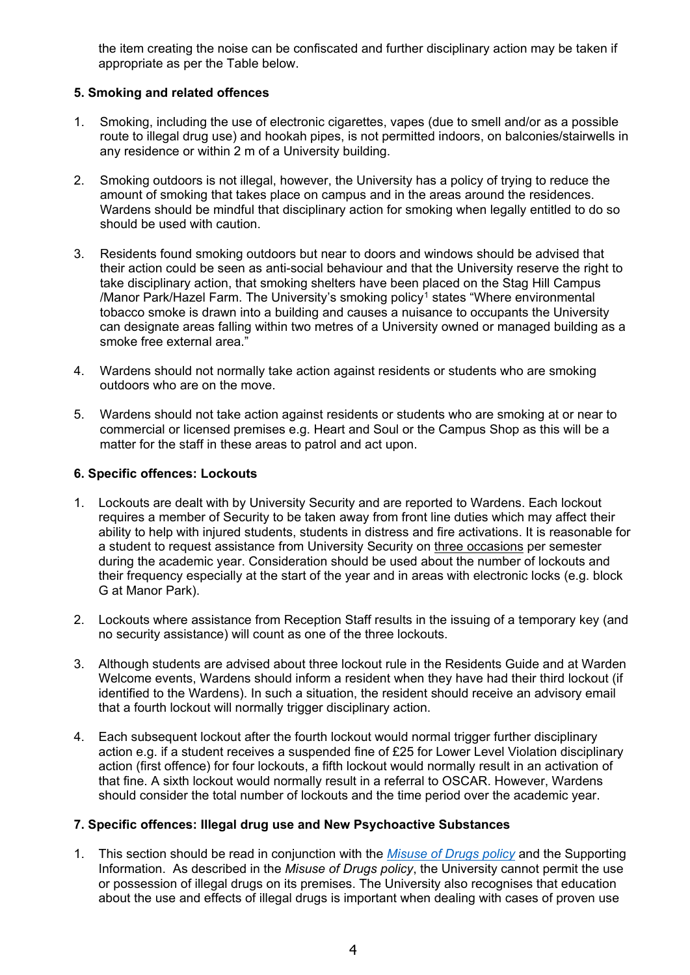the item creating the noise can be confiscated and further disciplinary action may be taken if appropriate as per the Table below.

#### **5. Smoking and related offences**

- 1. Smoking, including the use of electronic cigarettes, vapes (due to smell and/or as a possible route to illegal drug use) and hookah pipes, is not permitted indoors, on balconies/stairwells in any residence or within 2 m of a University building.
- 2. Smoking outdoors is not illegal, however, the University has a policy of trying to reduce the amount of smoking that takes place on campus and in the areas around the residences. Wardens should be mindful that disciplinary action for smoking when legally entitled to do so should be used with caution.
- 3. Residents found smoking outdoors but near to doors and windows should be advised that their action could be seen as anti-social behaviour and that the University reserve the right to take disciplinary action, that smoking shelters have been placed on the Stag Hill Campus /Manor Park/Hazel Farm. The University's smoking policy<sup>[1](#page-8-0)</sup> states "Where environmental tobacco smoke is drawn into a building and causes a nuisance to occupants the University can designate areas falling within two metres of a University owned or managed building as a smoke free external area."
- 4. Wardens should not normally take action against residents or students who are smoking outdoors who are on the move.
- 5. Wardens should not take action against residents or students who are smoking at or near to commercial or licensed premises e.g. Heart and Soul or the Campus Shop as this will be a matter for the staff in these areas to patrol and act upon.

#### **6. Specific offences: Lockouts**

- 1. Lockouts are dealt with by University Security and are reported to Wardens. Each lockout requires a member of Security to be taken away from front line duties which may affect their ability to help with injured students, students in distress and fire activations. It is reasonable for a student to request assistance from University Security on three occasions per semester during the academic year. Consideration should be used about the number of lockouts and their frequency especially at the start of the year and in areas with electronic locks (e.g. block G at Manor Park).
- 2. Lockouts where assistance from Reception Staff results in the issuing of a temporary key (and no security assistance) will count as one of the three lockouts.
- 3. Although students are advised about three lockout rule in the Residents Guide and at Warden Welcome events, Wardens should inform a resident when they have had their third lockout (if identified to the Wardens). In such a situation, the resident should receive an advisory email that a fourth lockout will normally trigger disciplinary action.
- 4. Each subsequent lockout after the fourth lockout would normal trigger further disciplinary action e.g. if a student receives a suspended fine of £25 for Lower Level Violation disciplinary action (first offence) for four lockouts, a fifth lockout would normally result in an activation of that fine. A sixth lockout would normally result in a referral to OSCAR. However, Wardens should consider the total number of lockouts and the time period over the academic year.

#### **7. Specific offences: Illegal drug use and New Psychoactive Substances**

1. This section should be read in conjunction with the *[Misuse of Drugs policy](https://surrey-content.surrey.ac.uk/sites/default/files/2021-04/student-drugs-policy.pdf)* and the Supporting Information. As described in the *Misuse of Drugs policy*, the University cannot permit the use or possession of illegal drugs on its premises. The University also recognises that education about the use and effects of illegal drugs is important when dealing with cases of proven use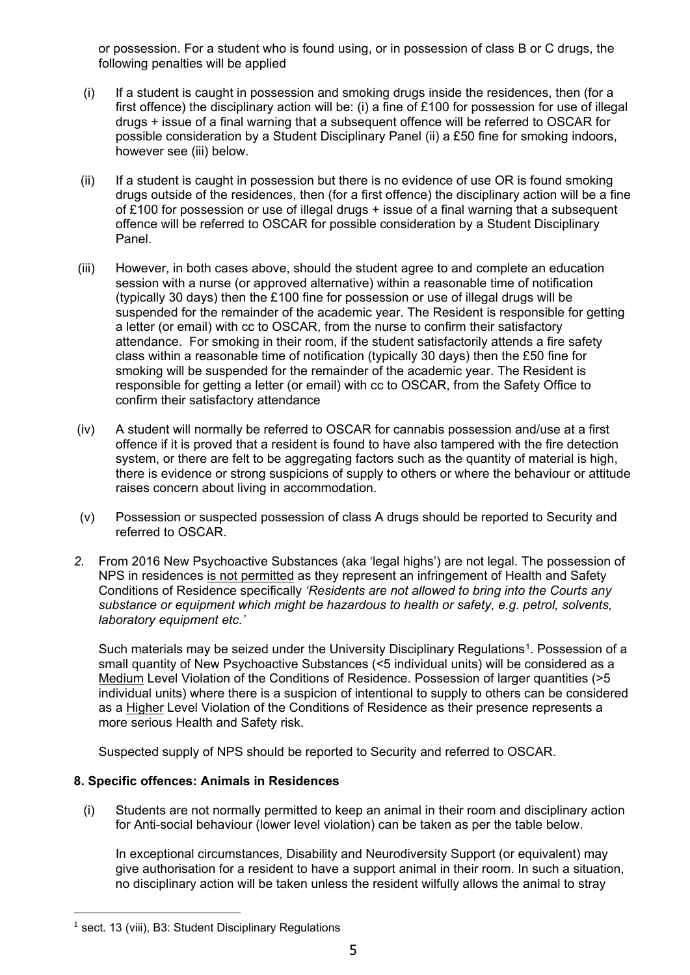or possession. For a student who is found using, or in possession of class B or C drugs, the following penalties will be applied

- (i) If a student is caught in possession and smoking drugs inside the residences, then (for a first offence) the disciplinary action will be: (i) a fine of £100 for possession for use of illegal drugs + issue of a final warning that a subsequent offence will be referred to OSCAR for possible consideration by a Student Disciplinary Panel (ii) a £50 fine for smoking indoors, however see (iii) below.
- (ii) If a student is caught in possession but there is no evidence of use OR is found smoking drugs outside of the residences, then (for a first offence) the disciplinary action will be a fine of £100 for possession or use of illegal drugs + issue of a final warning that a subsequent offence will be referred to OSCAR for possible consideration by a Student Disciplinary Panel.
- (iii) However, in both cases above, should the student agree to and complete an education session with a nurse (or approved alternative) within a reasonable time of notification (typically 30 days) then the £100 fine for possession or use of illegal drugs will be suspended for the remainder of the academic year. The Resident is responsible for getting a letter (or email) with cc to OSCAR, from the nurse to confirm their satisfactory attendance. For smoking in their room, if the student satisfactorily attends a fire safety class within a reasonable time of notification (typically 30 days) then the £50 fine for smoking will be suspended for the remainder of the academic year. The Resident is responsible for getting a letter (or email) with cc to OSCAR, from the Safety Office to confirm their satisfactory attendance
- (iv) A student will normally be referred to OSCAR for cannabis possession and/use at a first offence if it is proved that a resident is found to have also tampered with the fire detection system, or there are felt to be aggregating factors such as the quantity of material is high, there is evidence or strong suspicions of supply to others or where the behaviour or attitude raises concern about living in accommodation.
- (v) Possession or suspected possession of class A drugs should be reported to Security and referred to OSCAR.
- *2.* From 2016 New Psychoactive Substances (aka 'legal highs') are not legal. The possession of NPS in residences is not permitted as they represent an infringement of Health and Safety Conditions of Residence specifically *'Residents are not allowed to bring into the Courts any substance or equipment which might be hazardous to health or safety, e.g. petrol, solvents, laboratory equipment etc.'*

Such materials may be seized under the University Disciplinary Regulations<sup>1</sup>. Possession of a small quantity of New Psychoactive Substances (<5 individual units) will be considered as a Medium Level Violation of the Conditions of Residence. Possession of larger quantities (>5 individual units) where there is a suspicion of intentional to supply to others can be considered as a Higher Level Violation of the Conditions of Residence as their presence represents a more serious Health and Safety risk.

Suspected supply of NPS should be reported to Security and referred to OSCAR.

## **8. Specific offences: Animals in Residences**

(i) Students are not normally permitted to keep an animal in their room and disciplinary action for Anti-social behaviour (lower level violation) can be taken as per the table below.

In exceptional circumstances, Disability and Neurodiversity Support (or equivalent) may give authorisation for a resident to have a support animal in their room. In such a situation, no disciplinary action will be taken unless the resident wilfully allows the animal to stray

<span id="page-4-0"></span> $<sup>1</sup>$  sect. 13 (viii), B3: Student Disciplinary Regulations</sup>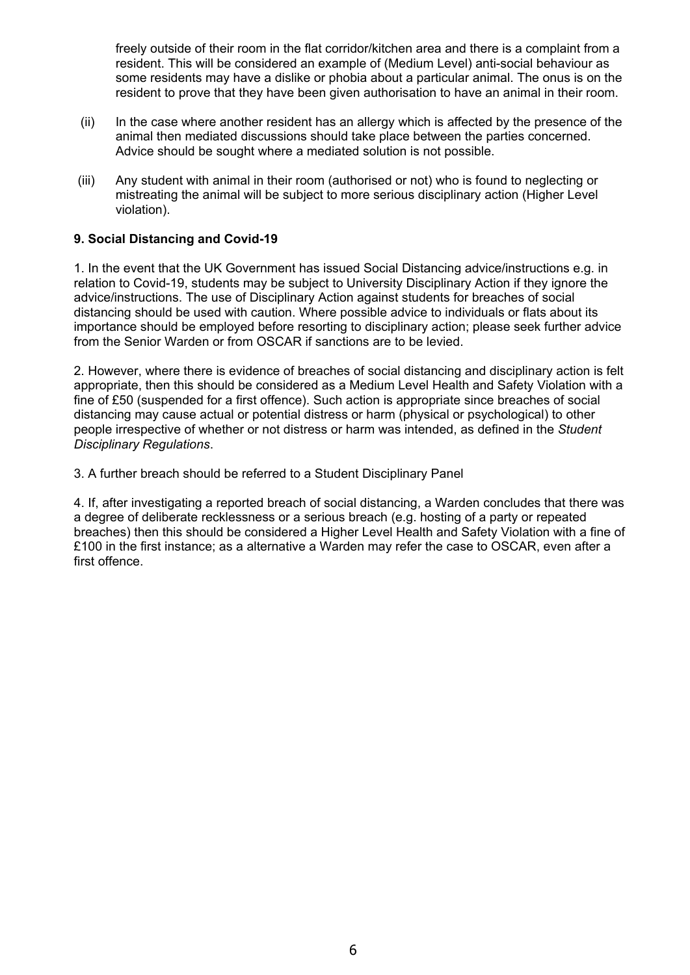freely outside of their room in the flat corridor/kitchen area and there is a complaint from a resident. This will be considered an example of (Medium Level) anti-social behaviour as some residents may have a dislike or phobia about a particular animal. The onus is on the resident to prove that they have been given authorisation to have an animal in their room.

- (ii) In the case where another resident has an allergy which is affected by the presence of the animal then mediated discussions should take place between the parties concerned. Advice should be sought where a mediated solution is not possible.
- (iii) Any student with animal in their room (authorised or not) who is found to neglecting or mistreating the animal will be subject to more serious disciplinary action (Higher Level violation).

#### **9. Social Distancing and Covid-19**

1. In the event that the UK Government has issued Social Distancing advice/instructions e.g. in relation to Covid-19, students may be subject to University Disciplinary Action if they ignore the advice/instructions. The use of Disciplinary Action against students for breaches of social distancing should be used with caution. Where possible advice to individuals or flats about its importance should be employed before resorting to disciplinary action; please seek further advice from the Senior Warden or from OSCAR if sanctions are to be levied.

2. However, where there is evidence of breaches of social distancing and disciplinary action is felt appropriate, then this should be considered as a Medium Level Health and Safety Violation with a fine of £50 (suspended for a first offence). Such action is appropriate since breaches of social distancing may cause actual or potential distress or harm (physical or psychological) to other people irrespective of whether or not distress or harm was intended, as defined in the *Student Disciplinary Regulations*.

3. A further breach should be referred to a Student Disciplinary Panel

4. If, after investigating a reported breach of social distancing, a Warden concludes that there was a degree of deliberate recklessness or a serious breach (e.g. hosting of a party or repeated breaches) then this should be considered a Higher Level Health and Safety Violation with a fine of £100 in the first instance; as a alternative a Warden may refer the case to OSCAR, even after a first offence.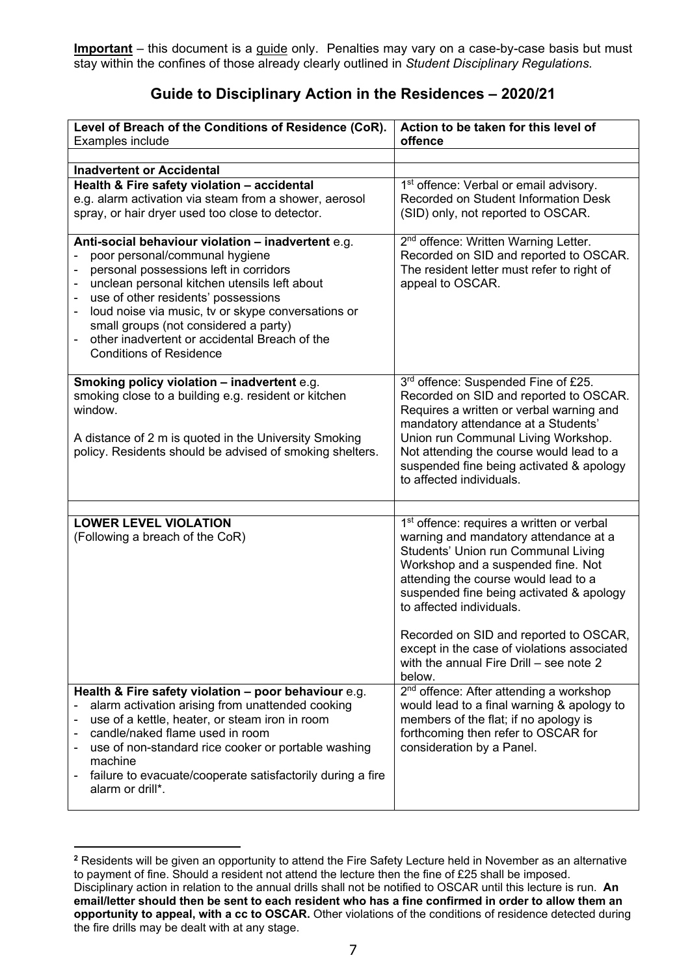**Important** – this document is a guide only. Penalties may vary on a case-by-case basis but must stay within the confines of those already clearly outlined in *Student Disciplinary Regulations.*

# **Guide to Disciplinary Action in the Residences – 2020/21**

| Level of Breach of the Conditions of Residence (CoR).<br>Examples include                                                                                                                                                                                                                                                                                                                               | Action to be taken for this level of<br>offence                                                                                                                                                                                                                                                                                                                                                                                           |
|---------------------------------------------------------------------------------------------------------------------------------------------------------------------------------------------------------------------------------------------------------------------------------------------------------------------------------------------------------------------------------------------------------|-------------------------------------------------------------------------------------------------------------------------------------------------------------------------------------------------------------------------------------------------------------------------------------------------------------------------------------------------------------------------------------------------------------------------------------------|
|                                                                                                                                                                                                                                                                                                                                                                                                         |                                                                                                                                                                                                                                                                                                                                                                                                                                           |
| <b>Inadvertent or Accidental</b>                                                                                                                                                                                                                                                                                                                                                                        |                                                                                                                                                                                                                                                                                                                                                                                                                                           |
| Health & Fire safety violation - accidental<br>e.g. alarm activation via steam from a shower, aerosol<br>spray, or hair dryer used too close to detector.                                                                                                                                                                                                                                               | 1 <sup>st</sup> offence: Verbal or email advisory.<br>Recorded on Student Information Desk<br>(SID) only, not reported to OSCAR.                                                                                                                                                                                                                                                                                                          |
| Anti-social behaviour violation - inadvertent e.g.<br>poor personal/communal hygiene<br>personal possessions left in corridors<br>unclean personal kitchen utensils left about<br>use of other residents' possessions<br>loud noise via music, tv or skype conversations or<br>small groups (not considered a party)<br>other inadvertent or accidental Breach of the<br><b>Conditions of Residence</b> | 2 <sup>nd</sup> offence: Written Warning Letter.<br>Recorded on SID and reported to OSCAR.<br>The resident letter must refer to right of<br>appeal to OSCAR.                                                                                                                                                                                                                                                                              |
| <b>Smoking policy violation - inadvertent e.g.</b><br>smoking close to a building e.g. resident or kitchen<br>window.<br>A distance of 2 m is quoted in the University Smoking<br>policy. Residents should be advised of smoking shelters.                                                                                                                                                              | 3rd offence: Suspended Fine of £25.<br>Recorded on SID and reported to OSCAR.<br>Requires a written or verbal warning and<br>mandatory attendance at a Students'<br>Union run Communal Living Workshop.<br>Not attending the course would lead to a<br>suspended fine being activated & apology<br>to affected individuals.                                                                                                               |
| <b>LOWER LEVEL VIOLATION</b><br>(Following a breach of the CoR)                                                                                                                                                                                                                                                                                                                                         | 1 <sup>st</sup> offence: requires a written or verbal<br>warning and mandatory attendance at a<br>Students' Union run Communal Living<br>Workshop and a suspended fine. Not<br>attending the course would lead to a<br>suspended fine being activated & apology<br>to affected individuals.<br>Recorded on SID and reported to OSCAR,<br>except in the case of violations associated<br>with the annual Fire Drill - see note 2<br>below. |
| Health & Fire safety violation - poor behaviour e.g.<br>alarm activation arising from unattended cooking<br>use of a kettle, heater, or steam iron in room<br>candle/naked flame used in room<br>use of non-standard rice cooker or portable washing<br>machine<br>failure to evacuate/cooperate satisfactorily during a fire<br>alarm or drill*.                                                       | 2 <sup>nd</sup> offence: After attending a workshop<br>would lead to a final warning & apology to<br>members of the flat; if no apology is<br>forthcoming then refer to OSCAR for<br>consideration by a Panel.                                                                                                                                                                                                                            |

<span id="page-6-0"></span>**<sup>2</sup>** Residents will be given an opportunity to attend the Fire Safety Lecture held in November as an alternative to payment of fine. Should a resident not attend the lecture then the fine of £25 shall be imposed. Disciplinary action in relation to the annual drills shall not be notified to OSCAR until this lecture is run. **An email/letter should then be sent to each resident who has a fine confirmed in order to allow them an opportunity to appeal, with a cc to OSCAR.** Other violations of the conditions of residence detected during the fire drills may be dealt with at any stage.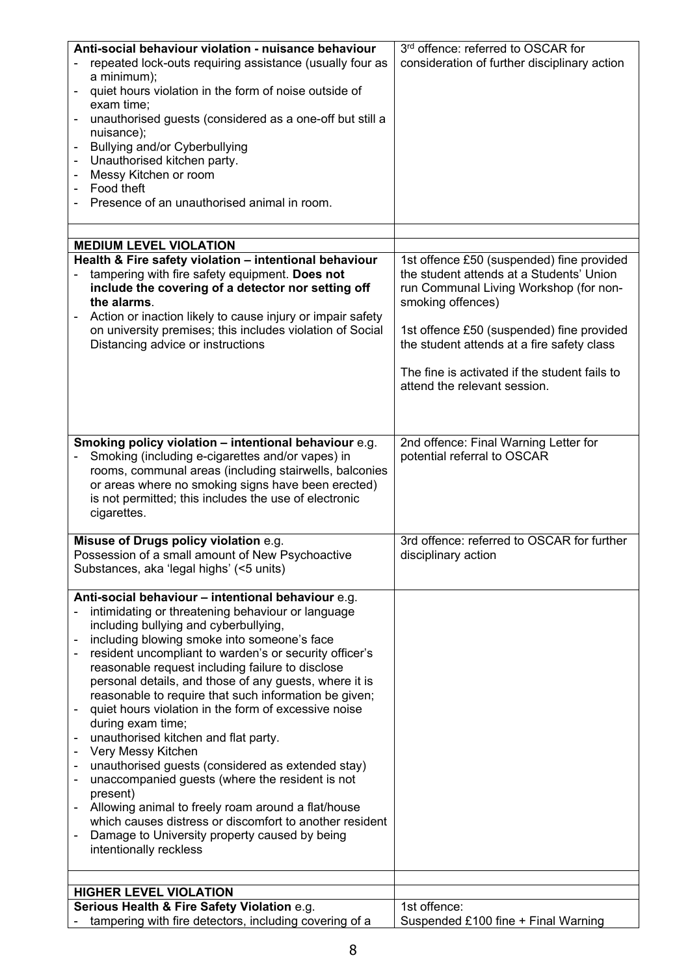| Anti-social behaviour violation - nuisance behaviour<br>repeated lock-outs requiring assistance (usually four as<br>a minimum);                                                                                                                                                                   | 3rd offence: referred to OSCAR for<br>consideration of further disciplinary action                      |
|---------------------------------------------------------------------------------------------------------------------------------------------------------------------------------------------------------------------------------------------------------------------------------------------------|---------------------------------------------------------------------------------------------------------|
| quiet hours violation in the form of noise outside of<br>-<br>exam time;                                                                                                                                                                                                                          |                                                                                                         |
| unauthorised guests (considered as a one-off but still a<br>-<br>nuisance);                                                                                                                                                                                                                       |                                                                                                         |
| Bullying and/or Cyberbullying                                                                                                                                                                                                                                                                     |                                                                                                         |
| Unauthorised kitchen party.<br>Messy Kitchen or room<br>-                                                                                                                                                                                                                                         |                                                                                                         |
| Food theft<br>Presence of an unauthorised animal in room.                                                                                                                                                                                                                                         |                                                                                                         |
|                                                                                                                                                                                                                                                                                                   |                                                                                                         |
| <b>MEDIUM LEVEL VIOLATION</b>                                                                                                                                                                                                                                                                     |                                                                                                         |
| Health & Fire safety violation - intentional behaviour                                                                                                                                                                                                                                            | 1st offence £50 (suspended) fine provided                                                               |
| tampering with fire safety equipment. Does not<br>include the covering of a detector nor setting off<br>the alarms.                                                                                                                                                                               | the student attends at a Students' Union<br>run Communal Living Workshop (for non-<br>smoking offences) |
| Action or inaction likely to cause injury or impair safety<br>on university premises; this includes violation of Social<br>Distancing advice or instructions                                                                                                                                      | 1st offence £50 (suspended) fine provided<br>the student attends at a fire safety class                 |
|                                                                                                                                                                                                                                                                                                   | The fine is activated if the student fails to<br>attend the relevant session.                           |
|                                                                                                                                                                                                                                                                                                   |                                                                                                         |
| Smoking policy violation - intentional behaviour e.g.<br>Smoking (including e-cigarettes and/or vapes) in<br>rooms, communal areas (including stairwells, balconies<br>or areas where no smoking signs have been erected)<br>is not permitted; this includes the use of electronic<br>cigarettes. | 2nd offence: Final Warning Letter for<br>potential referral to OSCAR                                    |
|                                                                                                                                                                                                                                                                                                   |                                                                                                         |
| Misuse of Drugs policy violation e.g.<br>Possession of a small amount of New Psychoactive<br>Substances, aka 'legal highs' (<5 units)                                                                                                                                                             | 3rd offence: referred to OSCAR for further<br>disciplinary action                                       |
| Anti-social behaviour - intentional behaviour e.g.                                                                                                                                                                                                                                                |                                                                                                         |
| intimidating or threatening behaviour or language<br>-<br>including bullying and cyberbullying,                                                                                                                                                                                                   |                                                                                                         |
| including blowing smoke into someone's face<br>-                                                                                                                                                                                                                                                  |                                                                                                         |
| resident uncompliant to warden's or security officer's<br>$\qquad \qquad \blacksquare$<br>reasonable request including failure to disclose                                                                                                                                                        |                                                                                                         |
| personal details, and those of any guests, where it is<br>reasonable to require that such information be given;                                                                                                                                                                                   |                                                                                                         |
| quiet hours violation in the form of excessive noise<br>-                                                                                                                                                                                                                                         |                                                                                                         |
| during exam time;<br>unauthorised kitchen and flat party.                                                                                                                                                                                                                                         |                                                                                                         |
| Very Messy Kitchen<br>$\qquad \qquad \blacksquare$                                                                                                                                                                                                                                                |                                                                                                         |
| unauthorised guests (considered as extended stay)<br>$\overline{\phantom{a}}$<br>unaccompanied guests (where the resident is not<br>$\overline{\phantom{a}}$                                                                                                                                      |                                                                                                         |
| present)                                                                                                                                                                                                                                                                                          |                                                                                                         |
| Allowing animal to freely roam around a flat/house<br>which causes distress or discomfort to another resident                                                                                                                                                                                     |                                                                                                         |
| Damage to University property caused by being<br>intentionally reckless                                                                                                                                                                                                                           |                                                                                                         |
|                                                                                                                                                                                                                                                                                                   |                                                                                                         |
| <b>HIGHER LEVEL VIOLATION</b>                                                                                                                                                                                                                                                                     |                                                                                                         |
| Serious Health & Fire Safety Violation e.g.                                                                                                                                                                                                                                                       | 1st offence:                                                                                            |
| tampering with fire detectors, including covering of a                                                                                                                                                                                                                                            | Suspended £100 fine + Final Warning                                                                     |